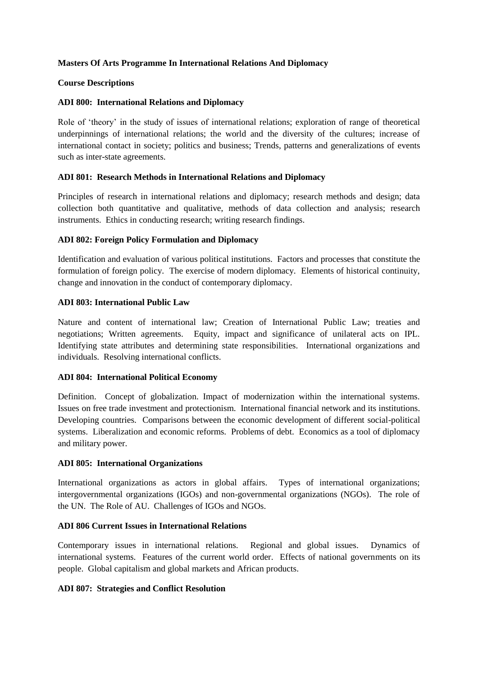### **Masters Of Arts Programme In International Relations And Diplomacy**

#### **Course Descriptions**

### **ADI 800: International Relations and Diplomacy**

Role of 'theory' in the study of issues of international relations; exploration of range of theoretical underpinnings of international relations; the world and the diversity of the cultures; increase of international contact in society; politics and business; Trends, patterns and generalizations of events such as inter-state agreements.

### **ADI 801: Research Methods in International Relations and Diplomacy**

Principles of research in international relations and diplomacy; research methods and design; data collection both quantitative and qualitative, methods of data collection and analysis; research instruments. Ethics in conducting research; writing research findings.

### **ADI 802: Foreign Policy Formulation and Diplomacy**

Identification and evaluation of various political institutions. Factors and processes that constitute the formulation of foreign policy. The exercise of modern diplomacy. Elements of historical continuity, change and innovation in the conduct of contemporary diplomacy.

### **ADI 803: International Public Law**

Nature and content of international law; Creation of International Public Law; treaties and negotiations; Written agreements. Equity, impact and significance of unilateral acts on IPL. Identifying state attributes and determining state responsibilities. International organizations and individuals. Resolving international conflicts.

#### **ADI 804: International Political Economy**

Definition. Concept of globalization. Impact of modernization within the international systems. Issues on free trade investment and protectionism. International financial network and its institutions. Developing countries. Comparisons between the economic development of different social-political systems. Liberalization and economic reforms. Problems of debt. Economics as a tool of diplomacy and military power.

#### **ADI 805: International Organizations**

International organizations as actors in global affairs. Types of international organizations; intergovernmental organizations (IGOs) and non-governmental organizations (NGOs). The role of the UN. The Role of AU. Challenges of IGOs and NGOs.

# **ADI 806 Current Issues in International Relations**

Contemporary issues in international relations. Regional and global issues. Dynamics of international systems. Features of the current world order. Effects of national governments on its people. Global capitalism and global markets and African products.

#### **ADI 807: Strategies and Conflict Resolution**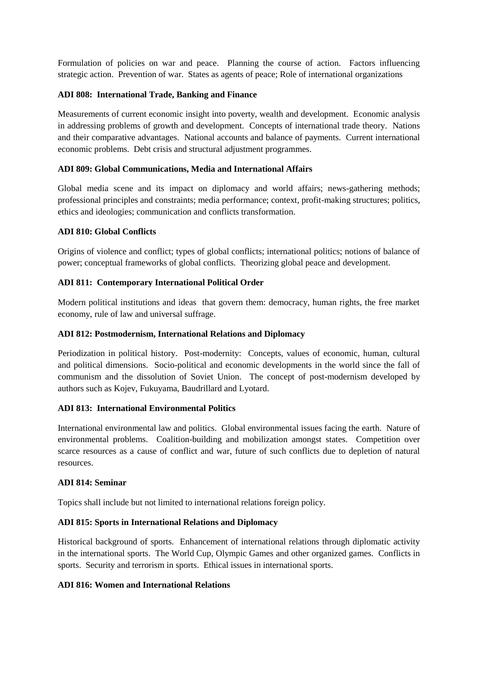Formulation of policies on war and peace. Planning the course of action. Factors influencing strategic action. Prevention of war. States as agents of peace; Role of international organizations

### **ADI 808: International Trade, Banking and Finance**

Measurements of current economic insight into poverty, wealth and development. Economic analysis in addressing problems of growth and development. Concepts of international trade theory. Nations and their comparative advantages. National accounts and balance of payments. Current international economic problems. Debt crisis and structural adjustment programmes.

### **ADI 809: Global Communications, Media and International Affairs**

Global media scene and its impact on diplomacy and world affairs; news-gathering methods; professional principles and constraints; media performance; context, profit-making structures; politics, ethics and ideologies; communication and conflicts transformation.

### **ADI 810: Global Conflicts**

Origins of violence and conflict; types of global conflicts; international politics; notions of balance of power; conceptual frameworks of global conflicts. Theorizing global peace and development.

# **ADI 811: Contemporary International Political Order**

Modern political institutions and ideas that govern them: democracy, human rights, the free market economy, rule of law and universal suffrage.

## **ADI 812: Postmodernism, International Relations and Diplomacy**

Periodization in political history. Post-modernity: Concepts, values of economic, human, cultural and political dimensions. Socio-political and economic developments in the world since the fall of communism and the dissolution of Soviet Union. The concept of post-modernism developed by authors such as Kojev, Fukuyama, Baudrillard and Lyotard.

#### **ADI 813: International Environmental Politics**

International environmental law and politics. Global environmental issues facing the earth. Nature of environmental problems. Coalition-building and mobilization amongst states. Competition over scarce resources as a cause of conflict and war, future of such conflicts due to depletion of natural resources.

#### **ADI 814: Seminar**

Topics shall include but not limited to international relations foreign policy.

# **ADI 815: Sports in International Relations and Diplomacy**

Historical background of sports. Enhancement of international relations through diplomatic activity in the international sports. The World Cup, Olympic Games and other organized games. Conflicts in sports. Security and terrorism in sports. Ethical issues in international sports.

# **ADI 816: Women and International Relations**